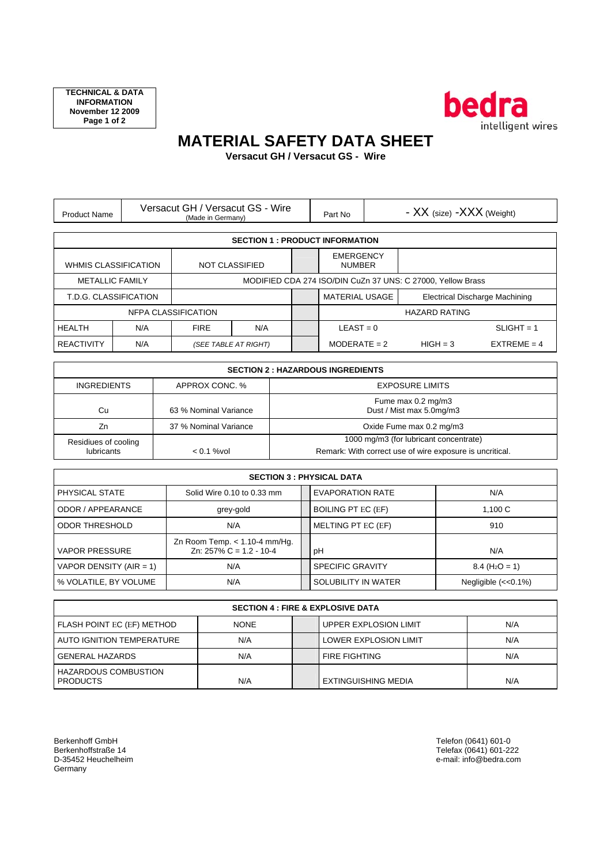

## **MATERIAL SAFETY DATA SHEET**

**Versacut GH / Versacut GS - Wire** 

| <b>Product Name</b>                                  |     | Versacut GH / Versacut GS - Wire<br>(Made in Germany) |                                                             |                                   | - XX (size) - XXX (Weight)<br>Part No                   |  |            |               |
|------------------------------------------------------|-----|-------------------------------------------------------|-------------------------------------------------------------|-----------------------------------|---------------------------------------------------------|--|------------|---------------|
| <b>SECTION 1 : PRODUCT INFORMATION</b>               |     |                                                       |                                                             |                                   |                                                         |  |            |               |
| <b>WHMIS CLASSIFICATION</b><br><b>NOT CLASSIFIED</b> |     |                                                       |                                                             | <b>EMERGENCY</b><br><b>NUMBER</b> |                                                         |  |            |               |
| <b>METALLIC FAMILY</b>                               |     |                                                       | MODIFIED CDA 274 ISO/DIN CuZn 37 UNS: C 27000. Yellow Brass |                                   |                                                         |  |            |               |
| T.D.G. CLASSIFICATION                                |     |                                                       |                                                             |                                   | Electrical Discharge Machining<br><b>MATERIAL USAGE</b> |  |            |               |
| NFPA CLASSIFICATION                                  |     |                                                       |                                                             | <b>HAZARD RATING</b>              |                                                         |  |            |               |
| <b>HEALTH</b>                                        | N/A | <b>FIRE</b>                                           | N/A                                                         |                                   | $LEAST = 0$                                             |  |            | $SLIGHT = 1$  |
| <b>REACTIVITY</b>                                    | N/A |                                                       | (SEE TABLE AT RIGHT)                                        |                                   | $MODERATE = 2$                                          |  | $HIGH = 3$ | $EXTREME = 4$ |

| <b>SECTION 2 : HAZARDOUS INGREDIENTS</b> |                       |                                                                                                    |  |  |
|------------------------------------------|-----------------------|----------------------------------------------------------------------------------------------------|--|--|
| <b>INGREDIENTS</b>                       | APPROX CONC. %        | <b>EXPOSURE LIMITS</b>                                                                             |  |  |
| Cu                                       | 63 % Nominal Variance | Fume max 0.2 mg/m3<br>Dust / Mist max 5.0mg/m3                                                     |  |  |
| Zn                                       | 37 % Nominal Variance | Oxide Fume max 0.2 mg/m3                                                                           |  |  |
| Residiues of cooling<br>lubricants       | $< 0.1$ % vol         | 1000 mg/m3 (for lubricant concentrate)<br>Remark: With correct use of wire exposure is uncritical. |  |  |

| <b>SECTION 3 : PHYSICAL DATA</b> |                                                                 |  |                           |                                   |  |  |
|----------------------------------|-----------------------------------------------------------------|--|---------------------------|-----------------------------------|--|--|
| PHYSICAL STATE                   | Solid Wire 0.10 to 0.33 mm                                      |  | <b>EVAPORATION RATE</b>   | N/A                               |  |  |
| ODOR / APPEARANCE                | grey-gold                                                       |  | <b>BOILING PT EC (EF)</b> | 1.100C                            |  |  |
| <b>ODOR THRESHOLD</b>            | N/A                                                             |  | MELTING PT EC (EF)        | 910                               |  |  |
| <b>VAPOR PRESSURE</b>            | Zn Room Temp. $< 1.10 - 4$ mm/Hg.<br>Zn: $257\%$ C = 1.2 - 10-4 |  | pH                        | N/A                               |  |  |
| VAPOR DENSITY (AIR = 1)          | N/A                                                             |  | <b>SPECIFIC GRAVITY</b>   | $8.4$ (H <sub>2</sub> O = 1)      |  |  |
| % VOLATILE, BY VOLUME            | N/A                                                             |  | SOLUBILITY IN WATER       | Negligible $\left(<0.1\% \right)$ |  |  |

| <b>SECTION 4 : FIRE &amp; EXPLOSIVE DATA</b>   |             |  |                              |     |  |  |
|------------------------------------------------|-------------|--|------------------------------|-----|--|--|
| <b>FLASH POINT EC (EF) METHOD</b>              | <b>NONE</b> |  | <b>UPPER EXPLOSION LIMIT</b> | N/A |  |  |
| <b>AUTO IGNITION TEMPERATURE</b>               | N/A         |  | <b>LOWER EXPLOSION LIMIT</b> | N/A |  |  |
| <b>GENERAL HAZARDS</b>                         | N/A         |  | <b>FIRE FIGHTING</b>         | N/A |  |  |
| <b>HAZARDOUS COMBUSTION</b><br><b>PRODUCTS</b> | N/A         |  | EXTINGUISHING MEDIA          | N/A |  |  |

Berkenhoff GmbH Telefon (0641) 601-0 Denemion Gribri<br>Berkenhoffstraße 14<br>D-35452 Heuchelheim e-mail: info@bedra.com<br>P-35452 Heuchelheim e-mail: info@bedra.com Germany

Berkenhoffstraße 14 Telefax (0641) 601-222